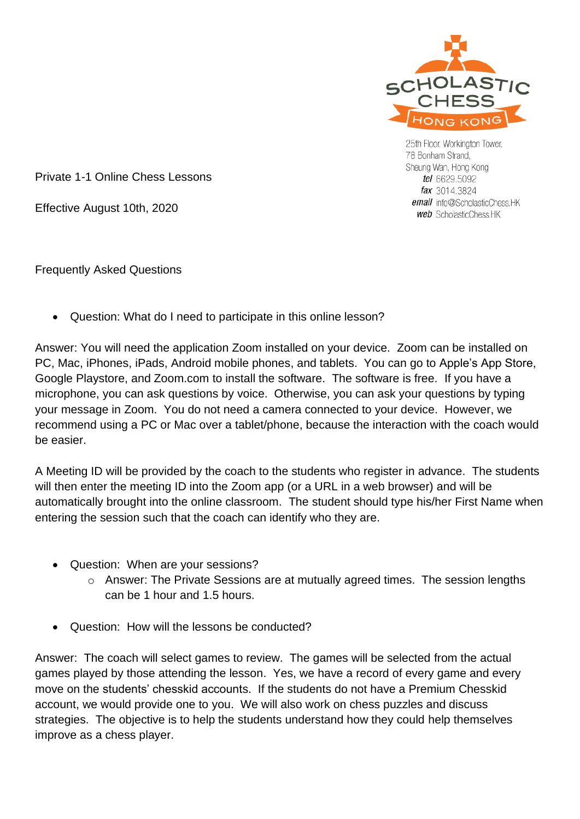

25th Floor, Workington Tower, 78 Bonham Strand, Sheung Wan, Hong Kong tel 6629.5092 fax 3014.3824 email info@ScholasticChess.HK **web** ScholasticChess.HK

Private 1-1 Online Chess Lessons

Effective August 10th, 2020

Frequently Asked Questions

• Question: What do I need to participate in this online lesson?

Answer: You will need the application Zoom installed on your device. Zoom can be installed on PC, Mac, iPhones, iPads, Android mobile phones, and tablets. You can go to Apple's App Store, Google Playstore, and Zoom.com to install the software. The software is free. If you have a microphone, you can ask questions by voice. Otherwise, you can ask your questions by typing your message in Zoom. You do not need a camera connected to your device. However, we recommend using a PC or Mac over a tablet/phone, because the interaction with the coach would be easier.

A Meeting ID will be provided by the coach to the students who register in advance. The students will then enter the meeting ID into the Zoom app (or a URL in a web browser) and will be automatically brought into the online classroom. The student should type his/her First Name when entering the session such that the coach can identify who they are.

- Question: When are your sessions?
	- o Answer: The Private Sessions are at mutually agreed times. The session lengths can be 1 hour and 1.5 hours.
- Question: How will the lessons be conducted?

Answer: The coach will select games to review. The games will be selected from the actual games played by those attending the lesson. Yes, we have a record of every game and every move on the students' chesskid accounts. If the students do not have a Premium Chesskid account, we would provide one to you. We will also work on chess puzzles and discuss strategies. The objective is to help the students understand how they could help themselves improve as a chess player.